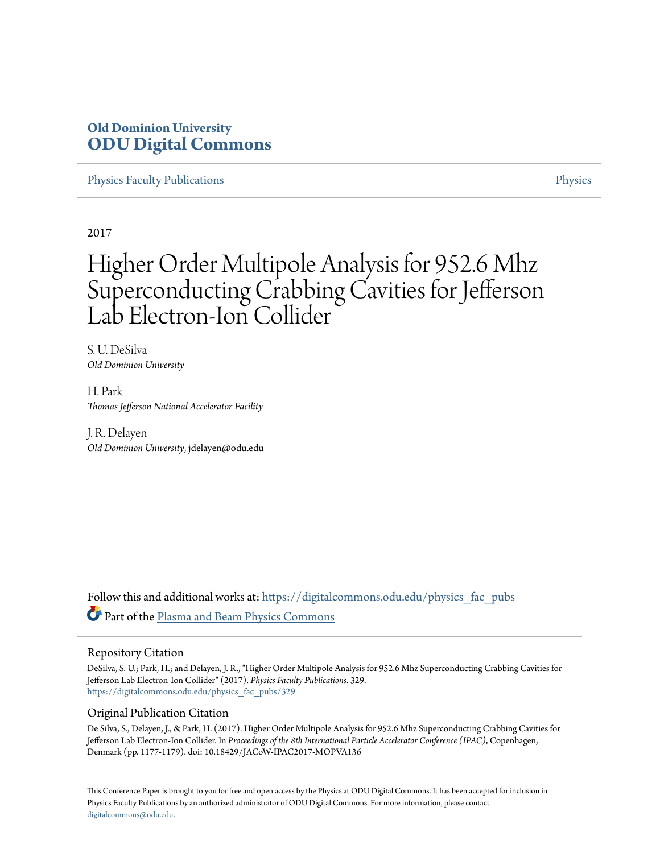# **Old Dominion University [ODU Digital Commons](https://digitalcommons.odu.edu?utm_source=digitalcommons.odu.edu%2Fphysics_fac_pubs%2F329&utm_medium=PDF&utm_campaign=PDFCoverPages)**

[Physics Faculty Publications](https://digitalcommons.odu.edu/physics_fac_pubs?utm_source=digitalcommons.odu.edu%2Fphysics_fac_pubs%2F329&utm_medium=PDF&utm_campaign=PDFCoverPages) [Physics](https://digitalcommons.odu.edu/physics?utm_source=digitalcommons.odu.edu%2Fphysics_fac_pubs%2F329&utm_medium=PDF&utm_campaign=PDFCoverPages)

2017

# Higher Order Multipole Analysis for 952.6 Mhz Superconducting Crabbing Cavities for Jefferson Lab Electron-Ion Collider

S. U. DeSilva *Old Dominion University*

H. Park *Thomas Jefferson National Accelerator Facility*

J. R. Delayen *Old Dominion University*, jdelayen@odu.edu

Follow this and additional works at: [https://digitalcommons.odu.edu/physics\\_fac\\_pubs](https://digitalcommons.odu.edu/physics_fac_pubs?utm_source=digitalcommons.odu.edu%2Fphysics_fac_pubs%2F329&utm_medium=PDF&utm_campaign=PDFCoverPages) Part of the [Plasma and Beam Physics Commons](http://network.bepress.com/hgg/discipline/205?utm_source=digitalcommons.odu.edu%2Fphysics_fac_pubs%2F329&utm_medium=PDF&utm_campaign=PDFCoverPages)

#### Repository Citation

DeSilva, S. U.; Park, H.; and Delayen, J. R., "Higher Order Multipole Analysis for 952.6 Mhz Superconducting Crabbing Cavities for Jefferson Lab Electron-Ion Collider" (2017). *Physics Faculty Publications*. 329. [https://digitalcommons.odu.edu/physics\\_fac\\_pubs/329](https://digitalcommons.odu.edu/physics_fac_pubs/329?utm_source=digitalcommons.odu.edu%2Fphysics_fac_pubs%2F329&utm_medium=PDF&utm_campaign=PDFCoverPages)

#### Original Publication Citation

De Silva, S., Delayen, J., & Park, H. (2017). Higher Order Multipole Analysis for 952.6 Mhz Superconducting Crabbing Cavities for Jefferson Lab Electron-Ion Collider. In *Proceedings of the 8th International Particle Accelerator Conference (IPAC)*, Copenhagen, Denmark (pp. 1177-1179). doi: 10.18429/JACoW-IPAC2017-MOPVA136

This Conference Paper is brought to you for free and open access by the Physics at ODU Digital Commons. It has been accepted for inclusion in Physics Faculty Publications by an authorized administrator of ODU Digital Commons. For more information, please contact [digitalcommons@odu.edu.](mailto:digitalcommons@odu.edu)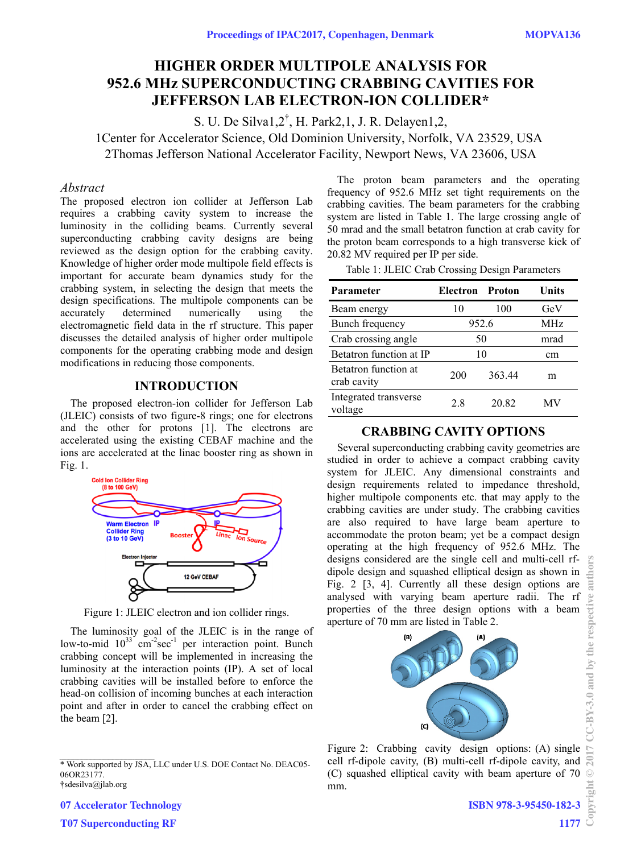## **HIGHER ORDER MULTIPOLE ANALYSIS FOR 952.6 MHz SUPERCONDUCTING CRABBING CAVITIES FOR JEFFERSON LAB ELECTRON-ION COLLIDER\***

S. U. De Silva1,2† , H. Park2,1, J. R. Delayen1,2, 1Center for Accelerator Science, Old Dominion University, Norfolk, VA 23529, USA 2Thomas Jefferson National Accelerator Facility, Newport News, VA 23606, USA

#### *Abstract*

The proposed electron ion collider at Jefferson Lab requires a crabbing cavity system to increase the luminosity in the colliding beams. Currently several superconducting crabbing cavity designs are being reviewed as the design option for the crabbing cavity. Knowledge of higher order mode multipole field effects is important for accurate beam dynamics study for the crabbing system, in selecting the design that meets the design specifications. The multipole components can be accurately determined numerically using the electromagnetic field data in the rf structure. This paper discusses the detailed analysis of higher order multipole components for the operating crabbing mode and design modifications in reducing those components.

#### **INTRODUCTION**

The proposed electron-ion collider for Jefferson Lab (JLEIC) consists of two figure-8 rings; one for electrons and the other for protons [1]. The electrons are accelerated using the existing CEBAF machine and the ions are accelerated at the linac booster ring as shown in Fig. 1.



Figure 1: JLEIC electron and ion collider rings.

The luminosity goal of the JLEIC is in the range of low-to-mid  $10^{33}$  cm<sup>-2</sup>sec<sup>-1</sup> per interaction point. Bunch crabbing concept will be implemented in increasing the luminosity at the interaction points (IP). A set of local crabbing cavities will be installed before to enforce the head-on collision of incoming bunches at each interaction point and after in order to cancel the crabbing effect on the beam [2].

†sdesilva@jlab.org

The proton beam parameters and the operating frequency of 952.6 MHz set tight requirements on the crabbing cavities. The beam parameters for the crabbing system are listed in Table 1. The large crossing angle of 50 mrad and the small betatron function at crab cavity for the proton beam corresponds to a high transverse kick of 20.82 MV required per IP per side.

Table 1: JLEIC Crab Crossing Design Parameters

| Parameter                                  | Electron Proton |        | Units      |
|--------------------------------------------|-----------------|--------|------------|
| Beam energy                                | 10              | 100    | GeV        |
| Bunch frequency                            | 952.6           |        | <b>MHz</b> |
| Crab crossing angle                        | 50              | mrad   |            |
| Betatron function at IP                    | 10              |        | cm         |
| <b>Betatron</b> function at<br>crab cavity | 200             | 363.44 | m          |
| Integrated transverse<br>voltage           | 2.8             | 20.82  |            |

#### **CRABBING CAVITY OPTIONS**

Several superconducting crabbing cavity geometries are studied in order to achieve a compact crabbing cavity system for JLEIC. Any dimensional constraints and design requirements related to impedance threshold, higher multipole components etc. that may apply to the crabbing cavities are under study. The crabbing cavities are also required to have large beam aperture to accommodate the proton beam; yet be a compact design operating at the high frequency of 952.6 MHz. The designs considered are the single cell and multi-cell rfdipole design and squashed elliptical design as shown in Fig. 2 [3, 4]. Currently all these design options are analysed with varying beam aperture radii. The rf properties of the three design options with a beam aperture of 70 mm are listed in Table 2.



Figure 2: Crabbing cavity design options: (A) single cell rf-dipole cavity, (B) multi-cell rf-dipole cavity, and (C) squashed elliptical cavity with beam aperture of 70 mm.

**ISBN 978-3-95450-182-3**

<sup>\*</sup> Work supported by JSA, LLC under U.S. DOE Contact No. DEAC05-06OR23177.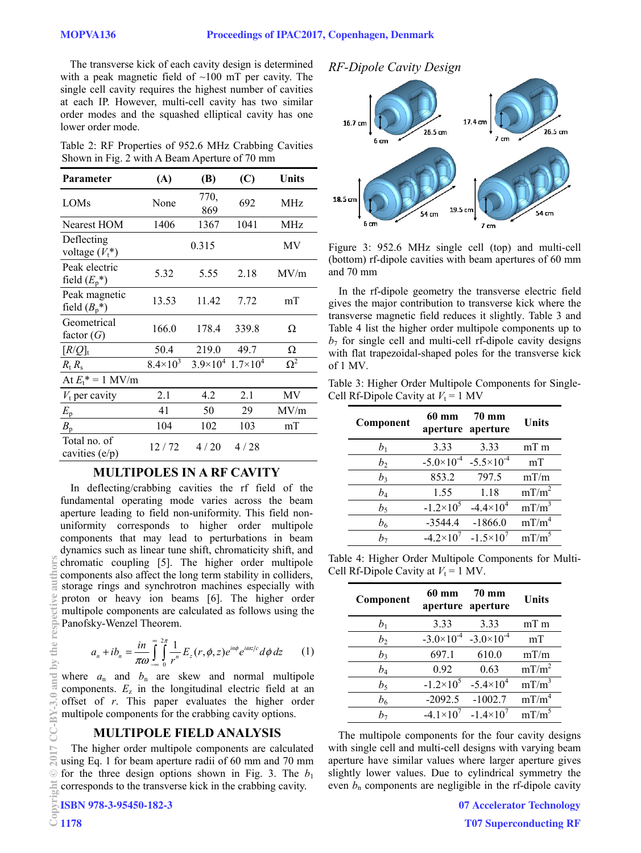The transverse kick of each cavity design is determined with a peak magnetic field of  $~100$  mT per cavity. The single cell cavity requires the highest number of cavities at each IP. However, multi-cell cavity has two similar order modes and the squashed elliptical cavity has one lower order mode.

Table 2: RF Properties of 952.6 MHz Crabbing Cavities Shown in Fig. 2 with A Beam Aperture of 70 mm

| Parameter                        | (A)             | (B)                                  | (C)   | Units      |
|----------------------------------|-----------------|--------------------------------------|-------|------------|
| LOM <sub>s</sub>                 | None            | 770,<br>869                          | 692   | MHz        |
| Nearest HOM                      | 1406            | 1367                                 | 1041  | MHz        |
| Deflecting<br>voltage $(V_t^*)$  |                 | 0.315                                |       | MV         |
| Peak electric<br>field $(E_p^*)$ | 5.32            | 5.55                                 | 2.18  | MV/m       |
| Peak magnetic<br>field $(B_p^*)$ | 13.53           | 11.42                                | 7.72  | mT         |
| Geometrical<br>factor $(G)$      | 166.0           | 178.4                                | 339.8 | Ω          |
| $[R/Q]_t$                        | 50.4            | 219.0                                | 49.7  | Ω          |
| $R_{\rm t} R_{\rm s}$            | $8.4\times10^3$ | $3.9\times10^{4}$ 1.7 $\times10^{4}$ |       | $\Omega^2$ |
| At $E_t^* = 1$ MV/m              |                 |                                      |       |            |
| $V_t$ per cavity                 | 2.1             | 4.2                                  | 2.1   | MV         |
| $E_{\rm p}$                      | 41              | 50                                   | 29    | MV/m       |
| $B_{\rm p}$                      | 104             | 102                                  | 103   | mT         |
| Total no. of<br>cavities (e/p)   | 12/72           | 4/20                                 | 4/28  |            |

#### **MULTIPOLES IN A RF CAVITY**

In deflecting/crabbing cavities the rf field of the fundamental operating mode varies across the beam aperture leading to field non-uniformity. This field nonuniformity corresponds to higher order multipole components that may lead to perturbations in beam dynamics such as linear tune shift, chromaticity shift, and chromatic coupling [5]. The higher order multipole components also affect the long term stability in colliders, storage rings and synchrotron machines especially with proton or heavy ion beams [6]. The higher order multipole components are calculated as follows using the Panofsky-Wenzel Theorem.

$$
a_n + ib_n = \frac{in}{\pi\omega} \int_{-\infty}^{\infty} \int_{0}^{2\pi} \frac{1}{r^n} E_z(r, \phi, z) e^{in\phi} e^{i\omega z/c} d\phi dz \qquad (1)
$$

where  $a_n$  and  $b_n$  are skew and normal multipole components.  $E_z$  in the longitudinal electric field at an offset of *r*. This paper evaluates the higher order multipole components for the crabbing cavity options.

#### **MULTIPOLE FIELD ANALYSIS**

The higher order multipole components are calculated using Eq. 1 for beam aperture radii of 60 mm and 70 mm for the three design options shown in Fig. 3. The  $b_1$ Ecorresponds to the transverse kick in the crabbing cavity.<br> **COPY 1178**<br> **COPY 1178** 

## *RF-Dipole Cavity Design*



Figure 3: 952.6 MHz single cell (top) and multi-cell (bottom) rf-dipole cavities with beam apertures of 60 mm and 70 mm

In the rf-dipole geometry the transverse electric field gives the major contribution to transverse kick where the transverse magnetic field reduces it slightly. Table 3 and Table 4 list the higher order multipole components up to  $b_7$  for single cell and multi-cell rf-dipole cavity designs with flat trapezoidal-shaped poles for the transverse kick of 1 MV.

Table 3: Higher Order Multipole Components for Single-Cell Rf-Dipole Cavity at  $V_t = 1$  MV

| Component      | 60 mm                 | 70 mm<br>aperture aperture | <b>Units</b>      |
|----------------|-----------------------|----------------------------|-------------------|
| b <sub>1</sub> | 3.33                  | 3.33                       | $mT$ m            |
| $b_2$          | $-5.0 \times 10^{-4}$ | $-5.5 \times 10^{-4}$      | mT                |
| b,             | 853.2                 | 797.5                      | mT/m              |
| $b_4$          | 1.55                  | 1.18                       | $mT/m^2$          |
| $b_5$          | $-1.2\times10^{5}$    | $-4.4\times10^{4}$         | $mT/m^3$          |
| $b_6$          | $-3544.4$             | $-1866.0$                  | mT/m <sup>4</sup> |
| h-             | $-4.2\times10^{7}$    | $-1.5 \times 10^{7}$       | $mT/m^5$          |

Table 4: Higher Order Multipole Components for Multi-Cell Rf-Dipole Cavity at  $V_t = 1$  MV.

| Component      | 60 mm               | <b>70 mm</b><br>aperture aperture | Units             |
|----------------|---------------------|-----------------------------------|-------------------|
| $b_1$          | 3.33                | 3.33                              | $mT$ m            |
| b <sub>2</sub> | $-3.0\times10^{-4}$ | $-3.0\times10^{-4}$               | mT                |
| $b_3$          | 697.1               | 610.0                             | mT/m              |
| $b_4$          | 0.92                | 0.63                              | $mT/m^2$          |
| b <sub>5</sub> | $-1.2 \times 10^5$  | $-5.4\times10^{4}$                | $mT/m^3$          |
| $b_6$          | $-2092.5$           | $-1002.7$                         | mT/m <sup>4</sup> |
| $h_{\tau}$     | $-4.1 \times 10^7$  | $-1.4\times10^{7}$                | mT/m <sup>5</sup> |

The multipole components for the four cavity designs with single cell and multi-cell designs with varying beam aperture have similar values where larger aperture gives slightly lower values. Due to cylindrical symmetry the even  $b_n$  components are negligible in the rf-dipole cavity